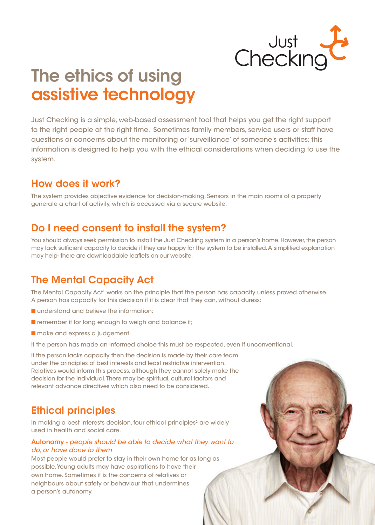

# The ethics of using assistive technology

Just Checking is a simple, web-based assessment tool that helps you get the right support to the right people at the right time. Sometimes family members, service users or staff have questions or concerns about the monitoring or 'surveillance' of someone's activities; this information is designed to help you with the ethical considerations when deciding to use the system.

### How does it work?

The system provides objective evidence for decision-making. Sensors in the main rooms of a property generate a chart of activity, which is accessed via a secure website.

### Do I need consent to install the system?

You should always seek permission to install the Just Checking system in a person's home. However, the person may lack suffcient capacity to decide if they are happy for the system to be installed. A simplifed explanation may help- there are downloadable leafets on our website.

## The Mental Capacity Act

The Mental Capacity Act<sup>1</sup> works on the principle that the person has capacity unless proved otherwise. A person has capacity for this decision if it is clear that they can, without duress:

- **n** understand and believe the information;
- $\blacksquare$  remember it for long enough to weigh and balance it;
- **n** make and express a judgement.

If the person has made an informed choice this must be respected, even if unconventional.

If the person lacks capacity then the decision is made by their care team under the principles of best interests and least restrictive intervention. Relatives would inform this process, although they cannot solely make the decision for the individual. There may be spiritual, cultural factors and relevant advance directives which also need to be considered.

### Ethical principles

In making a best interests decision, four ethical principles<sup>2</sup> are widely used in health and social care.

### Autonomy - *people should be able to decide what they want to do, or have done to them*

Most people would prefer to stay in their own home for as long as possible. Young adults may have aspirations to have their own home. Sometimes it is the concerns of relatives or neighbours about safety or behaviour that undermines a person's autonomy.